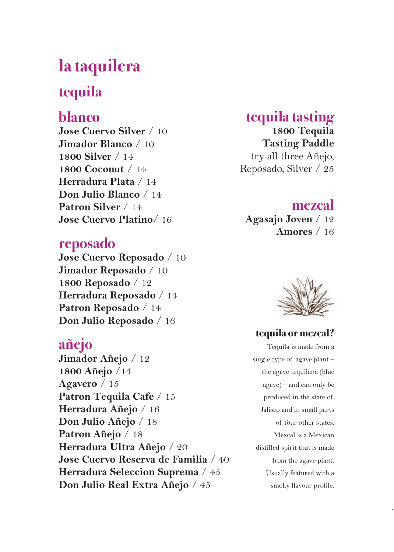# **la taquilera**

### **tequila**

### **blanco**

**Jose Cuervo Silver** / 10 **Jimador Blanco** / 10 **1800 Silver** / 14 **1800 Coconut** / 14 **Herradura Plata** / 14 **Don Julio Blanco** / 14 **Patron Silver** / 14 **Jose Cuervo Platino**/ 16

#### **reposado**

**Jose Cuervo Reposado** / 10 **Jimador Reposado** / 10 **1800 Reposado** / 12 **Herradura Reposado** / 14 **Patron Reposado** / 14 **Don Julio Reposado** / 16

#### **añejo**

**Jimador Añejo** / 12 **1800 Añejo** /14 **Agavero** / 15 **Patron Tequila Cafe** / 15 **Herradura Añejo** / 16 **Don Julio Añejo** / 18 **Patron Añejo** / 18 **Herradura Ultra Añejo** / 20 **Jose Cuervo Reserva de Familia** / 40 **Herradura Seleccion Suprema** / 45 **Don Julio Real Extra Añejo** / 45

### **tequila tasting**

**1800 Tequila Tasting Paddle** try all three Añejo, Reposado, Silver / 25

### **mezcal**

**Agasajo Joven** / 12 **Amores** / 16



#### **tequila or mezcal?**

Tequila is made from a single type of agave plant – the agave tequilana (blue agave) – and can only be produced in the state of Jalisco and in small parts of four other states. Mezcal is a Mexican distilled spirit that is made from the agave plant. Usually featured with a smoky flavour profile.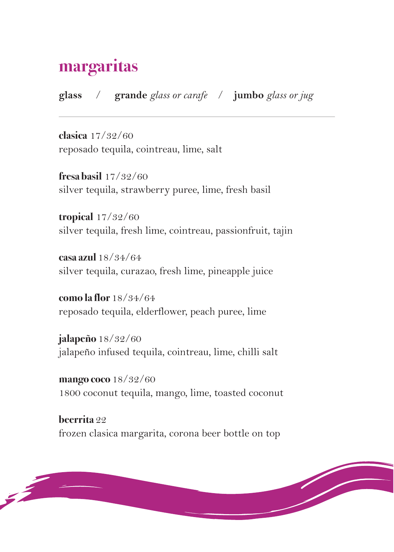## **margaritas**

**glass** / **grande** *glass or carafe* / **jumbo** *glass or jug*

**clasica** 17/32/60 reposado tequila, cointreau, lime, salt

**fresa basil** 17/32/60 silver tequila, strawberry puree, lime, fresh basil

**tropical** 17/32/60 silver tequila, fresh lime, cointreau, passionfruit, tajin

**casa azul** 18/34/64 silver tequila, curazao, fresh lime, pineapple juice

**como la flor** 18/34/64 reposado tequila, elderflower, peach puree, lime

**jalapeño** 18/32/60 jalapeño infused tequila, cointreau, lime, chilli salt

**mango coco** 18/32/60 1800 coconut tequila, mango, lime, toasted coconut

**beerrita** 22 frozen clasica margarita, corona beer bottle on top

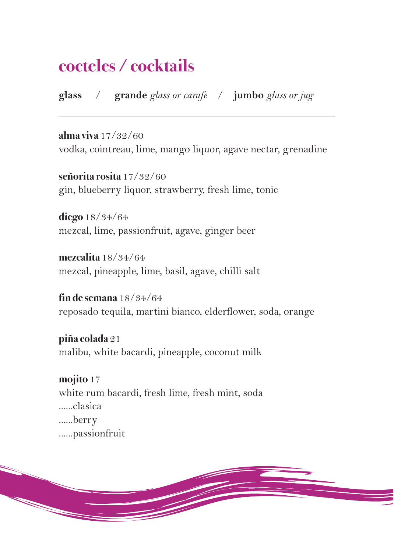# **cocteles / cocktails**

**glass** / **grande** *glass or carafe* / **jumbo** *glass or jug*

**alma viva** 17/32/60 vodka, cointreau, lime, mango liquor, agave nectar, grenadine

**señorita rosita** 17/32/60 gin, blueberry liquor, strawberry, fresh lime, tonic

**diego** 18/34/64 mezcal, lime, passionfruit, agave, ginger beer

**mezcalita** 18/34/64 mezcal, pineapple, lime, basil, agave, chilli salt

**fin de semana** 18/34/64 reposado tequila, martini bianco, elderflower, soda, orange

**piña colada** 21 malibu, white bacardi, pineapple, coconut milk

**mojito** 17 white rum bacardi, fresh lime, fresh mint, soda ......clasica ......berry ......passionfruit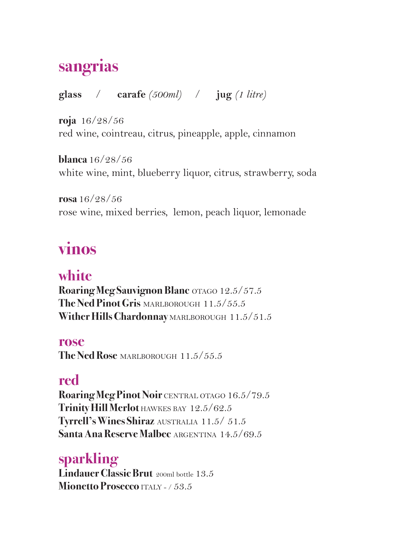# **sangrias**

**glass** / **carafe** *(500ml)* / **jug** *(1 litre)*

**roja** 16/28/56 red wine, cointreau, citrus, pineapple, apple, cinnamon

**blanca** 16/28/56 white wine, mint, blueberry liquor, citrus, strawberry, soda

**rosa** 16/28/56 rose wine, mixed berries, lemon, peach liquor, lemonade

# **vinos**

### **white**

**Roaring Meg Sauvignon Blanc** OTAGO 12.5/57.5 **The Ned Pinot Gris** MARLBOROUGH 11.5/55.5 Wither Hills Chardonnay MARLBOROUGH 11.5/51.5

**rose The Ned Rose** MARLBOROUGH 11.5/55.5

## **red**

**Roaring Meg Pinot Noir CENTRAL OTAGO 16.5/79.5** Trinity Hill Merlot **HAWKES BAY 12.5/62.5 Tyrrell's Wines Shiraz** AUSTRALIA 11.5/ 51.5 **Santa Ana Reserve Malbec** ARGENTINA 14.5/69.5

### **sparkling**

**Lindauer Classic Brut** 200ml bottle 13.5 **Mionetto Prosecco** ITALY - / 53.5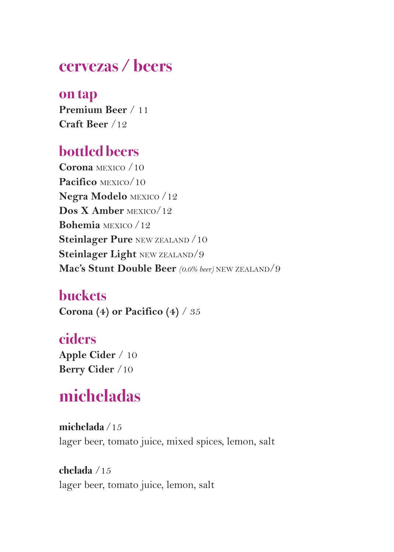# **cervezas / beers**

**on tap Premium Beer** / 11 **Craft Beer** /12

### **bottled beers**

**Corona** MEXICO /10 **Pacifico** MEXICO/10 **Negra Modelo** MEXICO /12 **Dos X Amber** MEXICO/12 **Bohemia** MEXICO /12 **Steinlager Pure** NEW ZEALAND /10 **Steinlager Light** NEW ZEALAND/9 **Mac's Stunt Double Beer** *(0.0% beer)* NEW ZEALAND/9

### **buckets**

**Corona (4) or Pacifico (4)** / 35

### **ciders**

**Apple Cider** / 10 **Berry Cider** /10

# **micheladas**

**michelada** /15 lager beer, tomato juice, mixed spices, lemon, salt

#### **chelada** /15

lager beer, tomato juice, lemon, salt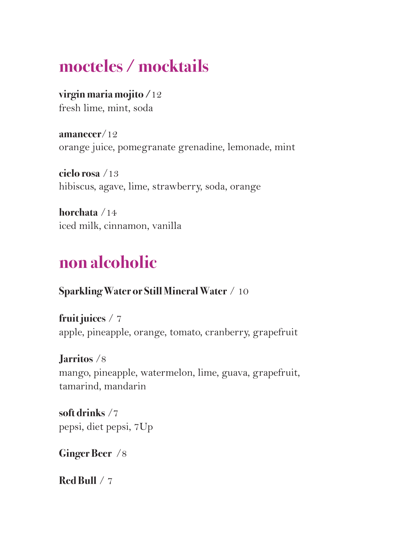# **mocteles / mocktails**

**virgin maria mojito /**12 fresh lime, mint, soda

**amanecer**/12 orange juice, pomegranate grenadine, lemonade, mint

**cielo rosa** /13 hibiscus, agave, lime, strawberry, soda, orange

**horchata** /14 iced milk, cinnamon, vanilla

# **non alcoholic**

#### **Sparkling Water or Still Mineral Water** / 10

**fruit juices** / 7 apple, pineapple, orange, tomato, cranberry, grapefruit

**Jarritos** /8 mango, pineapple, watermelon, lime, guava, grapefruit, tamarind, mandarin

**soft drinks** /7 pepsi, diet pepsi, 7Up

**Ginger Beer** /8

**Red Bull** / 7